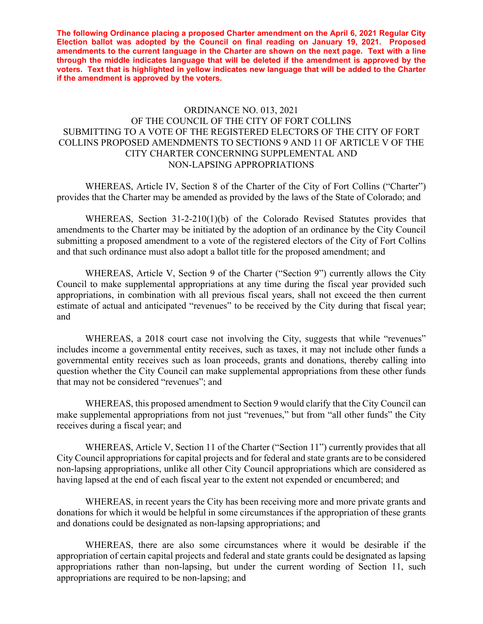**The following Ordinance placing a proposed Charter amendment on the April 6, 2021 Regular City Election ballot was adopted by the Council on final reading on January 19, 2021. Proposed amendments to the current language in the Charter are shown on the next page. Text with a line through the middle indicates language that will be deleted if the amendment is approved by the voters. Text that is highlighted in yellow indicates new language that will be added to the Charter if the amendment is approved by the voters.** 

# ORDINANCE NO. 013, 2021 OF THE COUNCIL OF THE CITY OF FORT COLLINS SUBMITTING TO A VOTE OF THE REGISTERED ELECTORS OF THE CITY OF FORT COLLINS PROPOSED AMENDMENTS TO SECTIONS 9 AND 11 OF ARTICLE V OF THE CITY CHARTER CONCERNING SUPPLEMENTAL AND NON-LAPSING APPROPRIATIONS

 WHEREAS, Article IV, Section 8 of the Charter of the City of Fort Collins ("Charter") provides that the Charter may be amended as provided by the laws of the State of Colorado; and

 WHEREAS, Section 31-2-210(1)(b) of the Colorado Revised Statutes provides that amendments to the Charter may be initiated by the adoption of an ordinance by the City Council submitting a proposed amendment to a vote of the registered electors of the City of Fort Collins and that such ordinance must also adopt a ballot title for the proposed amendment; and

 WHEREAS, Article V, Section 9 of the Charter ("Section 9") currently allows the City Council to make supplemental appropriations at any time during the fiscal year provided such appropriations, in combination with all previous fiscal years, shall not exceed the then current estimate of actual and anticipated "revenues" to be received by the City during that fiscal year; and

WHEREAS, a 2018 court case not involving the City, suggests that while "revenues" includes income a governmental entity receives, such as taxes, it may not include other funds a governmental entity receives such as loan proceeds, grants and donations, thereby calling into question whether the City Council can make supplemental appropriations from these other funds that may not be considered "revenues"; and

WHEREAS, this proposed amendment to Section 9 would clarify that the City Council can make supplemental appropriations from not just "revenues," but from "all other funds" the City receives during a fiscal year; and

 WHEREAS, Article V, Section 11 of the Charter ("Section 11") currently provides that all City Council appropriations for capital projects and for federal and state grants are to be considered non-lapsing appropriations, unlike all other City Council appropriations which are considered as having lapsed at the end of each fiscal year to the extent not expended or encumbered; and

 WHEREAS, in recent years the City has been receiving more and more private grants and donations for which it would be helpful in some circumstances if the appropriation of these grants and donations could be designated as non-lapsing appropriations; and

 WHEREAS, there are also some circumstances where it would be desirable if the appropriation of certain capital projects and federal and state grants could be designated as lapsing appropriations rather than non-lapsing, but under the current wording of Section 11, such appropriations are required to be non-lapsing; and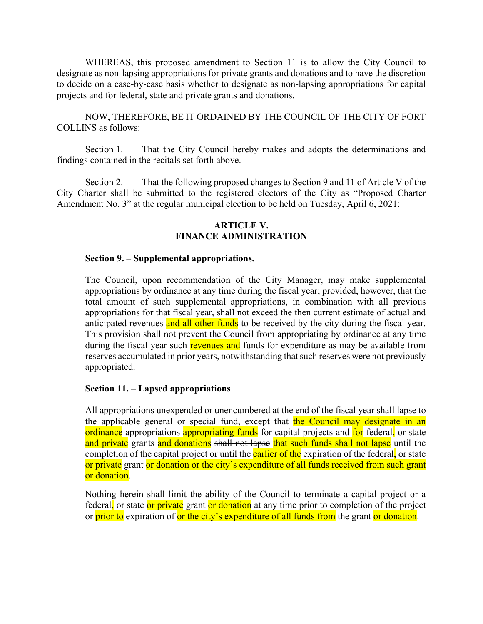WHEREAS, this proposed amendment to Section 11 is to allow the City Council to designate as non-lapsing appropriations for private grants and donations and to have the discretion to decide on a case-by-case basis whether to designate as non-lapsing appropriations for capital projects and for federal, state and private grants and donations.

 NOW, THEREFORE, BE IT ORDAINED BY THE COUNCIL OF THE CITY OF FORT COLLINS as follows:

 Section 1. That the City Council hereby makes and adopts the determinations and findings contained in the recitals set forth above.

Section 2. That the following proposed changes to Section 9 and 11 of Article V of the City Charter shall be submitted to the registered electors of the City as "Proposed Charter Amendment No. 3" at the regular municipal election to be held on Tuesday, April 6, 2021:

### **ARTICLE V. FINANCE ADMINISTRATION**

#### **Section 9. – Supplemental appropriations.**

The Council, upon recommendation of the City Manager, may make supplemental appropriations by ordinance at any time during the fiscal year; provided, however, that the total amount of such supplemental appropriations, in combination with all previous appropriations for that fiscal year, shall not exceed the then current estimate of actual and anticipated revenues and all other funds to be received by the city during the fiscal year. This provision shall not prevent the Council from appropriating by ordinance at any time during the fiscal year such revenues and funds for expenditure as may be available from reserves accumulated in prior years, notwithstanding that such reserves were not previously appropriated.

#### **Section 11. – Lapsed appropriations**

All appropriations unexpended or unencumbered at the end of the fiscal year shall lapse to the applicable general or special fund, except that the Council may designate in an ordinance appropriations appropriating funds for capital projects and for federal, or state and private grants and donations shall not lapse that such funds shall not lapse until the completion of the capital project or until the **earlier of the** expiration of the federal, or state or private grant or donation or the city's expenditure of all funds received from such grant or donation.

Nothing herein shall limit the ability of the Council to terminate a capital project or a federal, or state or private grant or donation at any time prior to completion of the project or prior to expiration of or the city's expenditure of all funds from the grant or donation.